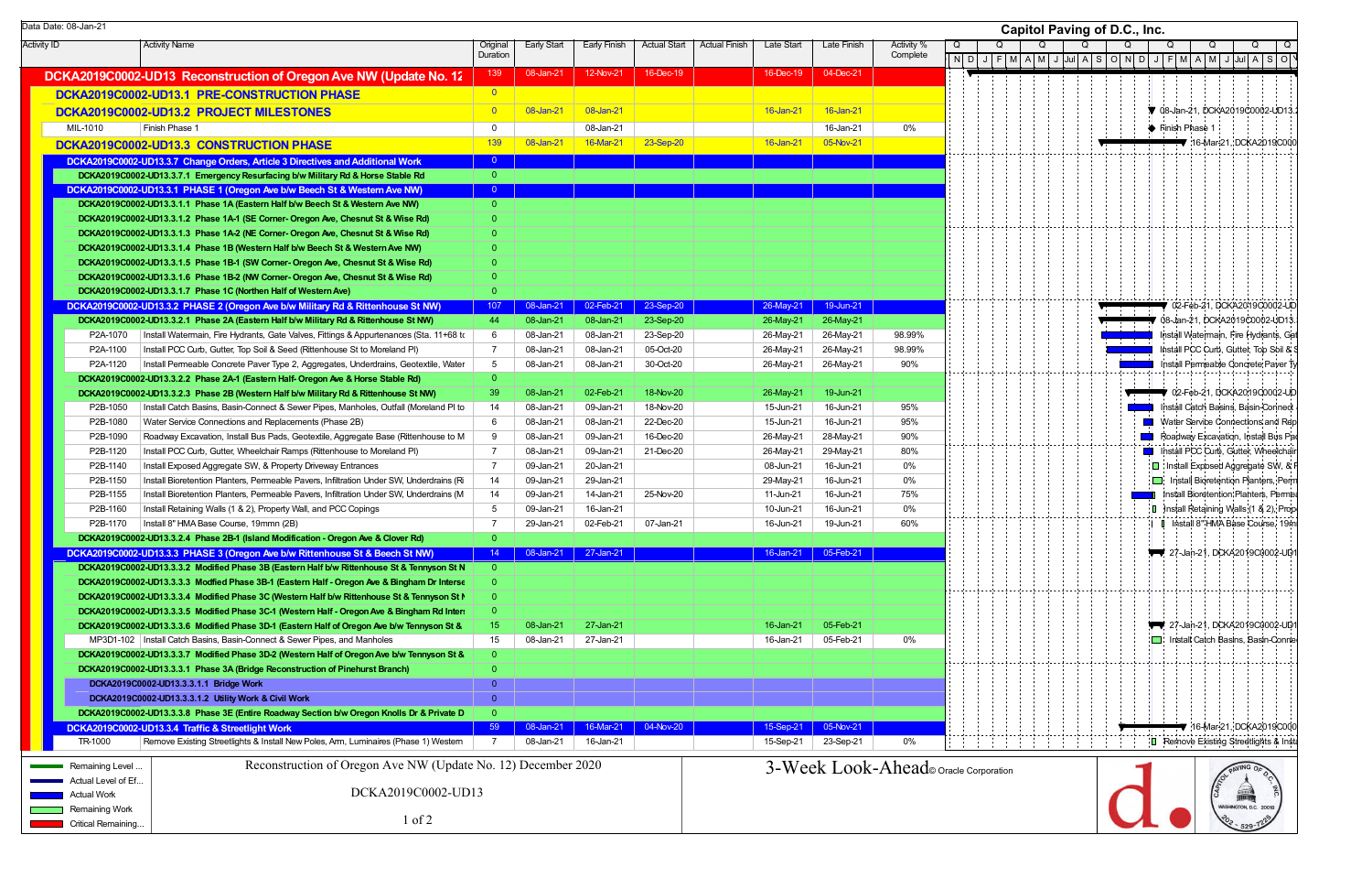|                    | Data Date: 08-Jan-21 |                                                                                                                                                                     |                      |                        |                        |                        |                      |                        |                        |                                       |   |         | C |
|--------------------|----------------------|---------------------------------------------------------------------------------------------------------------------------------------------------------------------|----------------------|------------------------|------------------------|------------------------|----------------------|------------------------|------------------------|---------------------------------------|---|---------|---|
| <b>Activity ID</b> |                      | <b>Activity Name</b>                                                                                                                                                | Original<br>Duration | <b>Early Start</b>     | Early Finish           | <b>Actual Start</b>    | <b>Actual Finish</b> | Late Start             | Late Finish            | Activity %<br>Complete                | Q | NDIJIFI | Q |
|                    |                      | DCKA2019C0002-UD13 Reconstruction of Oregon Ave NW (Update No. 12                                                                                                   | 139                  | 08-Jan-21              | 12-Nov-21              | 16-Dec-19              |                      | 16-Dec-19              | 04-Dec-21              |                                       |   |         |   |
|                    |                      |                                                                                                                                                                     | $\overline{0}$       |                        |                        |                        |                      |                        |                        |                                       |   |         |   |
|                    |                      | DCKA2019C0002-UD13.1 PRE-CONSTRUCTION PHASE                                                                                                                         |                      |                        |                        |                        |                      |                        |                        |                                       |   |         |   |
|                    |                      | DCKA2019C0002-UD13.2 PROJECT MILESTONES                                                                                                                             | $\overline{0}$       | 08-Jan-21              | 08-Jan-21              |                        |                      | 16-Jan-21              | 16-Jan-21              |                                       |   |         |   |
|                    | MIL-1010             | Finish Phase 1                                                                                                                                                      | 0                    |                        | 08-Jan-21              |                        |                      |                        | 16-Jan-21              | $0\%$                                 |   |         |   |
|                    |                      | DCKA2019C0002-UD13.3 CONSTRUCTION PHASE                                                                                                                             | 139                  | 08-Jan-21              | 16-Mar-21              | 23-Sep-20              |                      | 16-Jan-21              | 05-Nov-21              |                                       |   |         |   |
|                    |                      | DCKA2019C0002-UD13.3.7 Change Orders, Article 3 Directives and Additional Work                                                                                      | $\overline{0}$       |                        |                        |                        |                      |                        |                        |                                       |   |         |   |
|                    |                      | DCKA2019C0002-UD13.3.7.1 Emergency Resurfacing b/w Military Rd & Horse Stable Rd                                                                                    | $\overline{0}$       |                        |                        |                        |                      |                        |                        |                                       |   |         |   |
|                    |                      | DCKA2019C0002-UD13.3.1 PHASE 1 (Oregon Ave b/w Beech St & Western Ave NW)                                                                                           | $\overline{0}$       |                        |                        |                        |                      |                        |                        |                                       |   |         |   |
|                    |                      | DCKA2019C0002-UD13.3.1.1 Phase 1A (Eastern Half b/w Beech St & Western Ave NW)                                                                                      | $\overline{0}$       |                        |                        |                        |                      |                        |                        |                                       |   |         |   |
|                    |                      | DCKA2019C0002-UD13.3.1.2 Phase 1A-1 (SE Corner- Oregon Ave, Chesnut St & Wise Rd)                                                                                   | $\Omega$             |                        |                        |                        |                      |                        |                        |                                       |   |         |   |
|                    |                      | DCKA2019C0002-UD13.3.1.3 Phase 1A-2 (NE Corner- Oregon Ave, Chesnut St & Wise Rd)                                                                                   | $\Omega$             |                        |                        |                        |                      |                        |                        |                                       |   |         |   |
|                    |                      | DCKA2019C0002-UD13.3.1.4 Phase 1B (Western Half b/w Beech St & Western Ave NW)                                                                                      | $\Omega$             |                        |                        |                        |                      |                        |                        |                                       |   |         |   |
|                    |                      | DCKA2019C0002-UD13.3.1.5 Phase 1B-1 (SW Corner- Oregon Ave, Chesnut St & Wise Rd)                                                                                   | $\Omega$             |                        |                        |                        |                      |                        |                        |                                       |   |         |   |
|                    |                      | DCKA2019C0002-UD13.3.1.6 Phase 1B-2 (NW Corner- Oregon Ave, Chesnut St & Wise Rd)                                                                                   | $\Omega$             |                        |                        |                        |                      |                        |                        |                                       |   |         |   |
|                    |                      | DCKA2019C0002-UD13.3.1.7 Phase 1C (Northen Half of Western Ave)                                                                                                     | $\Omega$             |                        |                        |                        |                      |                        |                        |                                       |   |         |   |
|                    |                      | DCKA2019C0002-UD13.3.2 PHASE 2 (Oregon Ave b/w Military Rd & Rittenhouse St NW)                                                                                     | 107<br>44            | 08-Jan-21              | 02-Feb-21<br>08-Jan-21 | 23-Sep-20<br>23-Sep-20 |                      | 26-May-21              | 19-Jun-21              |                                       |   |         |   |
|                    | P2A-1070             | DCKA2019C0002-UD13.3.2.1 Phase 2A (Eastern Half b/w Military Rd & Rittenhouse St NW)                                                                                | 6                    | 08-Jan-21<br>08-Jan-21 | 08-Jan-21              |                        |                      | 26-May-21<br>26-May-21 | 26-May-21<br>26-May-21 | 98.99%                                |   |         |   |
|                    | P2A-1100             | Install Watermain, Fire Hydrants, Gate Valves, Fittings & Appurtenances (Sta. 11+68 to<br>Install PCC Curb, Gutter, Top Soil & Seed (Rittenhouse St to Moreland PI) | $\overline{7}$       | 08-Jan-21              | 08-Jan-21              | 23-Sep-20<br>05-Oct-20 |                      | 26-May-21              | 26-May-21              | 98.99%                                |   |         |   |
|                    | P2A-1120             | Install Permeable Concrete Paver Type 2, Aggregates, Underdrains, Geotextile, Water                                                                                 | 5                    | 08-Jan-21              | 08-Jan-21              | 30-Oct-20              |                      | 26-May-21              | 26-May-21              | 90%                                   |   |         |   |
|                    |                      | DCKA2019C0002-UD13.3.2.2 Phase 2A-1 (Eastern Half- Oregon Ave & Horse Stable Rd)                                                                                    | $\Omega$             |                        |                        |                        |                      |                        |                        |                                       |   |         |   |
|                    |                      | DCKA2019C0002-UD13.3.2.3 Phase 2B (Western Half b/w Military Rd & Rittenhouse St NW)                                                                                | 39                   | 08-Jan-21              | 02-Feb-21              | 18-Nov-20              |                      | 26-May-21              | 19-Jun-21              |                                       |   |         |   |
|                    | P2B-1050             | Install Catch Basins, Basin-Connect & Sewer Pipes, Manholes, Outfall (Moreland PI to                                                                                | 14                   | 08-Jan-21              | 09-Jan-21              | 18-Nov-20              |                      | 15-Jun-21              | 16-Jun-21              | 95%                                   |   |         |   |
|                    | P2B-1080             | Water Service Connections and Replacements (Phase 2B)                                                                                                               | 6                    | 08-Jan-21              | 08-Jan-21              | 22-Dec-20              |                      | 15-Jun-21              | 16-Jun-21              | 95%                                   |   |         |   |
|                    | P2B-1090             | Roadway Excavation, Install Bus Pads, Geotextile, Aggregate Base (Rittenhouse to M                                                                                  | 9                    | 08-Jan-21              | 09-Jan-21              | 16-Dec-20              |                      | 26-May-21              | 28-May-21              | 90%                                   |   |         |   |
|                    | P2B-1120             | Install PCC Curb, Gutter, Wheelchair Ramps (Rittenhouse to Moreland PI)                                                                                             | 7                    | 08-Jan-21              | 09-Jan-21              | 21-Dec-20              |                      | 26-May-21              | 29-May-21              | 80%                                   |   |         |   |
|                    | P2B-1140             | Install Exposed Aggregate SW, & Property Driveway Entrances                                                                                                         | $\overline{7}$       | 09-Jan-21              | 20-Jan-21              |                        |                      | 08-Jun-21              | 16-Jun-21              | $0\%$                                 |   |         |   |
|                    | P2B-1150             | Install Bioretention Planters, Permeable Pavers, Infiltration Under SW, Underdrains (Ri                                                                             | 14                   | 09-Jan-21              | 29-Jan-21              |                        |                      | 29-May-21              | 16-Jun-21              | $0\%$                                 |   |         |   |
|                    | P2B-1155             | Install Bioretention Planters, Permeable Pavers, Infiltration Under SW, Underdrains (M                                                                              | 14                   | 09-Jan-21              | 14-Jan-21              | 25-Nov-20              |                      | 11-Jun-21              | 16-Jun-21              | 75%                                   |   |         |   |
|                    | P2B-1160             | Install Retaining Walls (1 & 2), Property Wall, and PCC Copings                                                                                                     | 5                    | 09-Jan-21              | 16-Jan-21              |                        |                      | 10-Jun-21              | 16-Jun-21              | $0\%$                                 |   |         |   |
|                    | P2B-1170             | Install 8" HMA Base Course, 19mmn (2B)                                                                                                                              | $\overline{7}$       | 29-Jan-21              | 02-Feb-21              | 07-Jan-21              |                      | 16-Jun-21              | 19-Jun-21              | 60%                                   |   |         |   |
|                    |                      | DCKA2019C0002-UD13.3.2.4 Phase 2B-1 (Island Modification - Oregon Ave & Clover Rd)                                                                                  | $\Omega$             |                        |                        |                        |                      |                        |                        |                                       |   |         |   |
|                    |                      | DCKA2019C0002-UD13.3.3 PHASE 3 (Oregon Ave b/w Rittenhouse St & Beech St NW)                                                                                        | 14                   | 08-Jan-21              | 27-Jan-21              |                        |                      | 16-Jan-21              | 05-Feb-21              |                                       |   |         |   |
|                    |                      | DCKA2019C0002-UD13.3.3.2 Modified Phase 3B (Eastern Half b/w Rittenhouse St & Tennyson St N                                                                         | $\overline{0}$       |                        |                        |                        |                      |                        |                        |                                       |   |         |   |
|                    |                      | DCKA2019C0002-UD13.3.3.3 Modfied Phase 3B-1 (Eastern Half - Oregon Ave & Bingham Dr Interse                                                                         | $\mathbf 0$          |                        |                        |                        |                      |                        |                        |                                       |   |         |   |
|                    |                      | DCKA2019C0002-UD13.3.3.4 Modified Phase 3C (Western Half b/w Rittenhouse St & Tennyson St N                                                                         | $\mathbf 0$          |                        |                        |                        |                      |                        |                        |                                       |   |         |   |
|                    |                      | DCKA2019C0002-UD13.3.3.5 Modified Phase 3C-1 (Western Half - Oregon Ave & Bingham Rd Inter                                                                          | $\overline{0}$       |                        |                        |                        |                      |                        |                        |                                       |   |         |   |
|                    |                      | DCKA2019C0002-UD13.3.3.6 Modified Phase 3D-1 (Eastern Half of Oregon Ave b/w Tennyson St &                                                                          | 15                   | 08-Jan-21              | 27-Jan-21              |                        |                      | 16-Jan-21              | 05-Feb-21              |                                       |   |         |   |
|                    |                      | MP3D1-102   Install Catch Basins, Basin-Connect & Sewer Pipes, and Manholes                                                                                         | 15                   | 08-Jan-21              | 27-Jan-21              |                        |                      | 16-Jan-21              | 05-Feb-21              | 0%                                    |   |         |   |
|                    |                      | DCKA2019C0002-UD13.3.3.7 Modified Phase 3D-2 (Western Half of Oregon Ave b/w Tennyson St &                                                                          | $\overline{0}$       |                        |                        |                        |                      |                        |                        |                                       |   |         |   |
|                    |                      | DCKA2019C0002-UD13.3.3.1 Phase 3A (Bridge Reconstruction of Pinehurst Branch)                                                                                       | $\Omega$             |                        |                        |                        |                      |                        |                        |                                       |   |         |   |
|                    |                      | DCKA2019C0002-UD13.3.3.1.1 Bridge Work                                                                                                                              | $\Omega$             |                        |                        |                        |                      |                        |                        |                                       |   |         |   |
|                    |                      | DCKA2019C0002-UD13.3.3.1.2 Utility Work & Civil Work                                                                                                                | $\overline{0}$       |                        |                        |                        |                      |                        |                        |                                       |   |         |   |
|                    |                      | DCKA2019C0002-UD13.3.3.8 Phase 3E (Entire Roadway Section b/w Oregon Knolls Dr & Private D                                                                          | $\overline{0}$       |                        |                        |                        |                      |                        |                        |                                       |   |         |   |
|                    |                      | DCKA2019C0002-UD13.3.4 Traffic & Streetlight Work                                                                                                                   | 59                   | 08-Jan-21              | 16-Mar-21              | 04-Nov-20              |                      | 15-Sep-21              | 05-Nov-21              |                                       |   |         |   |
|                    | TR-1000              | Remove Existing Streetlights & Install New Poles, Arm, Luminaires (Phase 1) Westem                                                                                  | 7                    | 08-Jan-21              | 16-Jan-21              |                        |                      | 15-Sep-21              | 23-Sep-21              | 0%                                    |   |         |   |
|                    | Remaining Level      | Reconstruction of Oregon Ave NW (Update No. 12) December 2020                                                                                                       |                      |                        |                        |                        |                      |                        |                        | 3-Week Look-Ahead® Oracle Corporation |   |         |   |
|                    | Actual Level of Ef   |                                                                                                                                                                     |                      |                        |                        |                        |                      |                        |                        |                                       |   |         |   |
|                    | Actual Work          | DCKA2019C0002-UD13                                                                                                                                                  |                      |                        |                        |                        |                      |                        |                        |                                       |   |         |   |
|                    | Remaining Work       |                                                                                                                                                                     |                      |                        |                        |                        |                      |                        |                        |                                       |   |         |   |
|                    | Critical Remaining   | $1$ of $2$                                                                                                                                                          |                      |                        |                        |                        |                      |                        |                        |                                       |   |         |   |